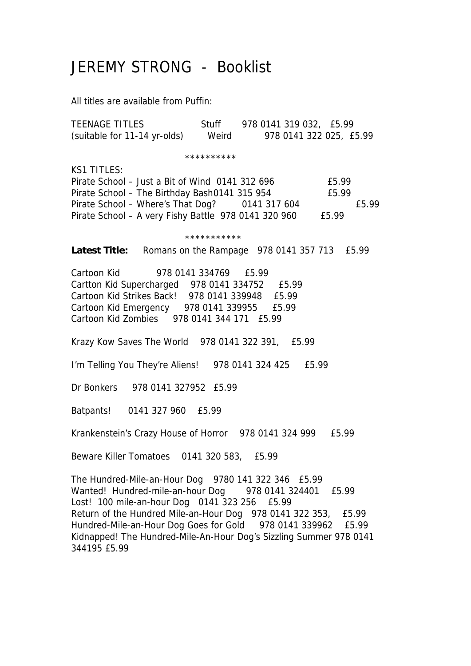## JEREMY STRONG - Booklist

All titles are available from Puffin:

TEENAGE TITLES Stuff 978 0141 319 032, £5.99 (suitable for 11-14 yr-olds) Weird 978 0141 322 025, £5.99

\*\*\*\*\*\*\*\*\*\*

 $K$ S1 TITLES:

Pirate School – Just a Bit of Wind 0141 312 696 £5.99 Pirate School – The Birthday Bash 0141 315 954 E5.99 Pirate School – Where's That Dog? 0141 317 604 £5.99 Pirate School – A very Fishy Battle 978 0141 320 960 £5.99

\*\*\*\*\*\*\*\*\*\*\*

Latest Title: Romans on the Rampage 978 0141 357 713 £5.99

Cartoon Kid 978 0141 334769 £5.99 Cartton Kid Supercharged 978 0141 334752 £5.99 Cartoon Kid Strikes Back! 978 0141 339948 £5.99 Cartoon Kid Emergency 978 0141 339955 £5.99 Cartoon Kid Zombies 978 0141 344 171 £5.99

Krazy Kow Saves The World 978 0141 322 391, £5.99

I'm Telling You They're Aliens! 978 0141 324 425 £5.99

Dr Bonkers 978 0141 327952 £5.99

Batpants! 0141 327 960 £5.99

Krankenstein's Crazy House of Horror 978 0141 324 999 £5.99

Beware Killer Tomatoes 0141 320 583, £5.99

The Hundred-Mile-an-Hour Dog 9780 141 322 346 £5.99 Wanted! Hundred-mile-an-hour Dog 978 0141 324401 £5.99 Lost! 100 mile-an-hour Dog 0141 323 256 £5.99 Return of the Hundred Mile-an-Hour Dog 978 0141 322 353, £5.99 Hundred-Mile-an-Hour Dog Goes for Gold 978 0141 339962 £5.99 Kidnapped! The Hundred-Mile-An-Hour Dog's Sizzling Summer 978 0141 344195 £5.99